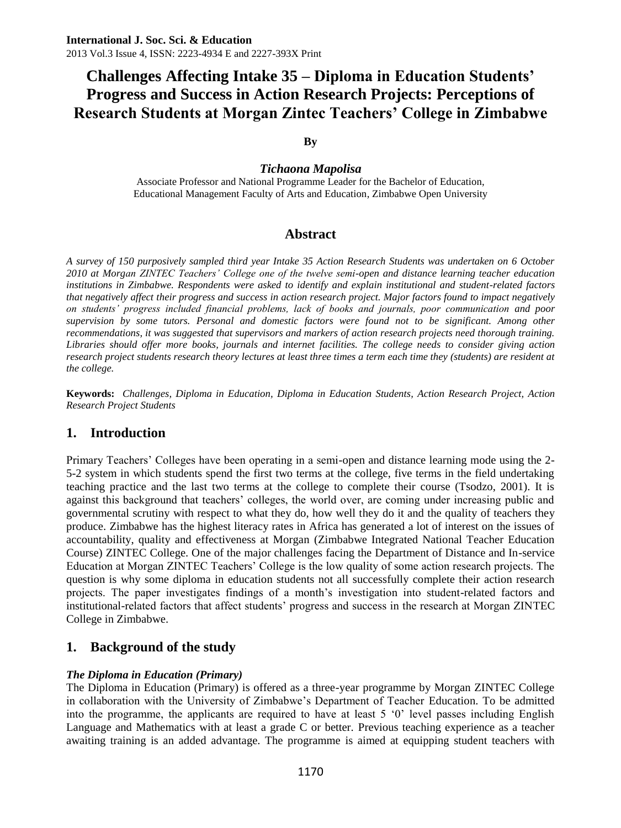**By**

## *Tichaona Mapolisa*

Associate Professor and National Programme Leader for the Bachelor of Education, Educational Management Faculty of Arts and Education, Zimbabwe Open University

## **Abstract**

*A survey of 150 purposively sampled third year Intake 35 Action Research Students was undertaken on 6 October 2010 at Morgan ZINTEC Teachers' College one of the twelve semi-open and distance learning teacher education institutions in Zimbabwe. Respondents were asked to identify and explain institutional and student-related factors that negatively affect their progress and success in action research project. Major factors found to impact negatively on students' progress included financial problems, lack of books and journals, poor communication and poor supervision by some tutors. Personal and domestic factors were found not to be significant. Among other*  recommendations, it was suggested that supervisors and markers of action research projects need thorough training. *Libraries should offer more books, journals and internet facilities. The college needs to consider giving action research project students research theory lectures at least three times a term each time they (students) are resident at the college.*

**Keywords:** *Challenges, Diploma in Education, Diploma in Education Students, Action Research Project, Action Research Project Students*

## **1. Introduction**

Primary Teachers' Colleges have been operating in a semi-open and distance learning mode using the 2- 5-2 system in which students spend the first two terms at the college, five terms in the field undertaking teaching practice and the last two terms at the college to complete their course (Tsodzo, 2001). It is against this background that teachers' colleges, the world over, are coming under increasing public and governmental scrutiny with respect to what they do, how well they do it and the quality of teachers they produce. Zimbabwe has the highest literacy rates in Africa has generated a lot of interest on the issues of accountability, quality and effectiveness at Morgan (Zimbabwe Integrated National Teacher Education Course) ZINTEC College. One of the major challenges facing the Department of Distance and In-service Education at Morgan ZINTEC Teachers' College is the low quality of some action research projects. The question is why some diploma in education students not all successfully complete their action research projects. The paper investigates findings of a month's investigation into student-related factors and institutional-related factors that affect students' progress and success in the research at Morgan ZINTEC College in Zimbabwe.

## **1. Background of the study**

## *The Diploma in Education (Primary)*

The Diploma in Education (Primary) is offered as a three-year programme by Morgan ZINTEC College in collaboration with the University of Zimbabwe's Department of Teacher Education. To be admitted into the programme, the applicants are required to have at least 5 '0' level passes including English Language and Mathematics with at least a grade C or better. Previous teaching experience as a teacher awaiting training is an added advantage. The programme is aimed at equipping student teachers with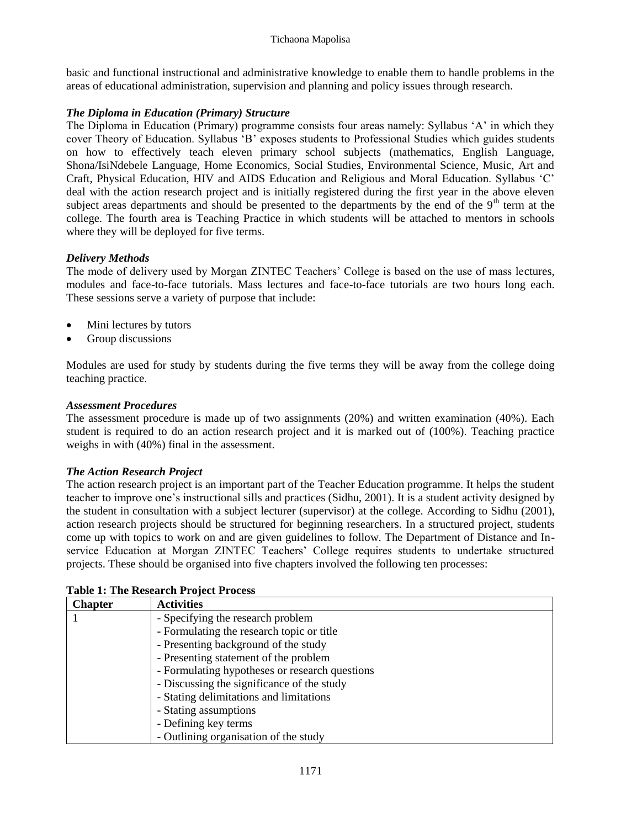basic and functional instructional and administrative knowledge to enable them to handle problems in the areas of educational administration, supervision and planning and policy issues through research.

## *The Diploma in Education (Primary) Structure*

The Diploma in Education (Primary) programme consists four areas namely: Syllabus 'A' in which they cover Theory of Education. Syllabus 'B' exposes students to Professional Studies which guides students on how to effectively teach eleven primary school subjects (mathematics, English Language, Shona/IsiNdebele Language, Home Economics, Social Studies, Environmental Science, Music, Art and Craft, Physical Education, HIV and AIDS Education and Religious and Moral Education. Syllabus 'C' deal with the action research project and is initially registered during the first year in the above eleven subject areas departments and should be presented to the departments by the end of the  $9<sup>th</sup>$  term at the college. The fourth area is Teaching Practice in which students will be attached to mentors in schools where they will be deployed for five terms.

## *Delivery Methods*

The mode of delivery used by Morgan ZINTEC Teachers' College is based on the use of mass lectures, modules and face-to-face tutorials. Mass lectures and face-to-face tutorials are two hours long each. These sessions serve a variety of purpose that include:

- Mini lectures by tutors
- Group discussions

Modules are used for study by students during the five terms they will be away from the college doing teaching practice.

## *Assessment Procedures*

The assessment procedure is made up of two assignments (20%) and written examination (40%). Each student is required to do an action research project and it is marked out of (100%). Teaching practice weighs in with (40%) final in the assessment.

## *The Action Research Project*

The action research project is an important part of the Teacher Education programme. It helps the student teacher to improve one's instructional sills and practices (Sidhu, 2001). It is a student activity designed by the student in consultation with a subject lecturer (supervisor) at the college. According to Sidhu (2001), action research projects should be structured for beginning researchers. In a structured project, students come up with topics to work on and are given guidelines to follow. The Department of Distance and Inservice Education at Morgan ZINTEC Teachers' College requires students to undertake structured projects. These should be organised into five chapters involved the following ten processes:

| <b>Chapter</b>                    | <b>Activities</b>                              |  |  |  |
|-----------------------------------|------------------------------------------------|--|--|--|
| - Specifying the research problem |                                                |  |  |  |
|                                   | - Formulating the research topic or title      |  |  |  |
|                                   | - Presenting background of the study           |  |  |  |
|                                   | - Presenting statement of the problem          |  |  |  |
|                                   | - Formulating hypotheses or research questions |  |  |  |
|                                   | - Discussing the significance of the study     |  |  |  |
|                                   | - Stating delimitations and limitations        |  |  |  |
|                                   | - Stating assumptions                          |  |  |  |
|                                   | - Defining key terms                           |  |  |  |
|                                   | - Outlining organisation of the study          |  |  |  |

**Table 1: The Research Project Process**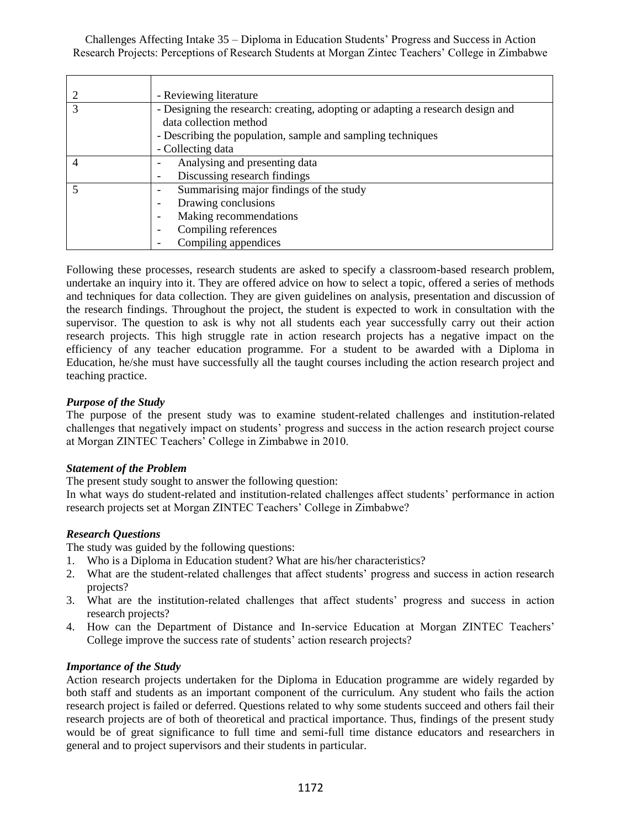| - Reviewing literature                                                                                   |
|----------------------------------------------------------------------------------------------------------|
| - Designing the research: creating, adopting or adapting a research design and<br>data collection method |
| - Describing the population, sample and sampling techniques                                              |
| - Collecting data                                                                                        |
| Analysing and presenting data                                                                            |
| Discussing research findings                                                                             |
| Summarising major findings of the study                                                                  |
| Drawing conclusions                                                                                      |
| Making recommendations                                                                                   |
| Compiling references                                                                                     |
| Compiling appendices                                                                                     |

Following these processes, research students are asked to specify a classroom-based research problem, undertake an inquiry into it. They are offered advice on how to select a topic, offered a series of methods and techniques for data collection. They are given guidelines on analysis, presentation and discussion of the research findings. Throughout the project, the student is expected to work in consultation with the supervisor. The question to ask is why not all students each year successfully carry out their action research projects. This high struggle rate in action research projects has a negative impact on the efficiency of any teacher education programme. For a student to be awarded with a Diploma in Education, he/she must have successfully all the taught courses including the action research project and teaching practice.

## *Purpose of the Study*

The purpose of the present study was to examine student-related challenges and institution-related challenges that negatively impact on students' progress and success in the action research project course at Morgan ZINTEC Teachers' College in Zimbabwe in 2010.

## *Statement of the Problem*

The present study sought to answer the following question:

In what ways do student-related and institution-related challenges affect students' performance in action research projects set at Morgan ZINTEC Teachers' College in Zimbabwe?

## *Research Questions*

The study was guided by the following questions:

- 1. Who is a Diploma in Education student? What are his/her characteristics?
- 2. What are the student-related challenges that affect students' progress and success in action research projects?
- 3. What are the institution-related challenges that affect students' progress and success in action research projects?
- 4. How can the Department of Distance and In-service Education at Morgan ZINTEC Teachers' College improve the success rate of students' action research projects?

## *Importance of the Study*

Action research projects undertaken for the Diploma in Education programme are widely regarded by both staff and students as an important component of the curriculum. Any student who fails the action research project is failed or deferred. Questions related to why some students succeed and others fail their research projects are of both of theoretical and practical importance. Thus, findings of the present study would be of great significance to full time and semi-full time distance educators and researchers in general and to project supervisors and their students in particular.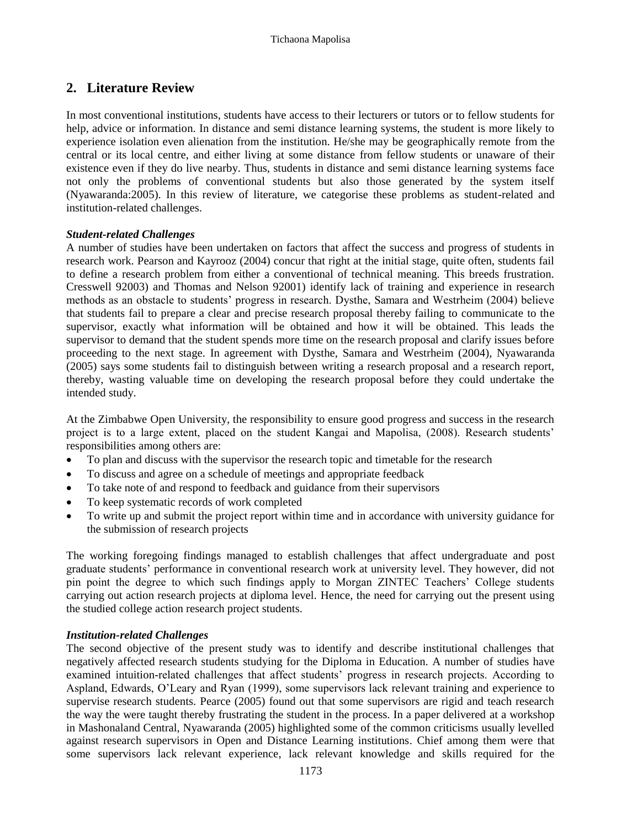## **2. Literature Review**

In most conventional institutions, students have access to their lecturers or tutors or to fellow students for help, advice or information. In distance and semi distance learning systems, the student is more likely to experience isolation even alienation from the institution. He/she may be geographically remote from the central or its local centre, and either living at some distance from fellow students or unaware of their existence even if they do live nearby. Thus, students in distance and semi distance learning systems face not only the problems of conventional students but also those generated by the system itself (Nyawaranda:2005). In this review of literature, we categorise these problems as student-related and institution-related challenges.

## *Student-related Challenges*

A number of studies have been undertaken on factors that affect the success and progress of students in research work. Pearson and Kayrooz (2004) concur that right at the initial stage, quite often, students fail to define a research problem from either a conventional of technical meaning. This breeds frustration. Cresswell 92003) and Thomas and Nelson 92001) identify lack of training and experience in research methods as an obstacle to students' progress in research. Dysthe, Samara and Westrheim (2004) believe that students fail to prepare a clear and precise research proposal thereby failing to communicate to the supervisor, exactly what information will be obtained and how it will be obtained. This leads the supervisor to demand that the student spends more time on the research proposal and clarify issues before proceeding to the next stage. In agreement with Dysthe, Samara and Westrheim (2004), Nyawaranda (2005) says some students fail to distinguish between writing a research proposal and a research report, thereby, wasting valuable time on developing the research proposal before they could undertake the intended study.

At the Zimbabwe Open University, the responsibility to ensure good progress and success in the research project is to a large extent, placed on the student Kangai and Mapolisa, (2008). Research students' responsibilities among others are:

- To plan and discuss with the supervisor the research topic and timetable for the research
- To discuss and agree on a schedule of meetings and appropriate feedback
- To take note of and respond to feedback and guidance from their supervisors
- To keep systematic records of work completed
- To write up and submit the project report within time and in accordance with university guidance for the submission of research projects

The working foregoing findings managed to establish challenges that affect undergraduate and post graduate students' performance in conventional research work at university level. They however, did not pin point the degree to which such findings apply to Morgan ZINTEC Teachers' College students carrying out action research projects at diploma level. Hence, the need for carrying out the present using the studied college action research project students.

#### *Institution-related Challenges*

The second objective of the present study was to identify and describe institutional challenges that negatively affected research students studying for the Diploma in Education. A number of studies have examined intuition-related challenges that affect students' progress in research projects. According to Aspland, Edwards, O'Leary and Ryan (1999), some supervisors lack relevant training and experience to supervise research students. Pearce (2005) found out that some supervisors are rigid and teach research the way the were taught thereby frustrating the student in the process. In a paper delivered at a workshop in Mashonaland Central, Nyawaranda (2005) highlighted some of the common criticisms usually levelled against research supervisors in Open and Distance Learning institutions. Chief among them were that some supervisors lack relevant experience, lack relevant knowledge and skills required for the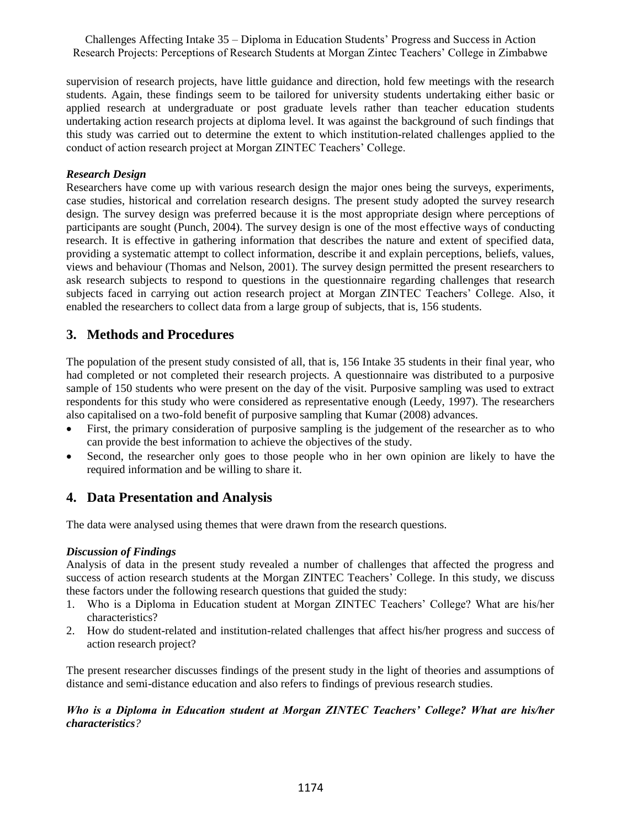supervision of research projects, have little guidance and direction, hold few meetings with the research students. Again, these findings seem to be tailored for university students undertaking either basic or applied research at undergraduate or post graduate levels rather than teacher education students undertaking action research projects at diploma level. It was against the background of such findings that this study was carried out to determine the extent to which institution-related challenges applied to the conduct of action research project at Morgan ZINTEC Teachers' College.

## *Research Design*

Researchers have come up with various research design the major ones being the surveys, experiments, case studies, historical and correlation research designs. The present study adopted the survey research design. The survey design was preferred because it is the most appropriate design where perceptions of participants are sought (Punch, 2004). The survey design is one of the most effective ways of conducting research. It is effective in gathering information that describes the nature and extent of specified data, providing a systematic attempt to collect information, describe it and explain perceptions, beliefs, values, views and behaviour (Thomas and Nelson, 2001). The survey design permitted the present researchers to ask research subjects to respond to questions in the questionnaire regarding challenges that research subjects faced in carrying out action research project at Morgan ZINTEC Teachers' College. Also, it enabled the researchers to collect data from a large group of subjects, that is, 156 students.

## **3. Methods and Procedures**

The population of the present study consisted of all, that is, 156 Intake 35 students in their final year, who had completed or not completed their research projects. A questionnaire was distributed to a purposive sample of 150 students who were present on the day of the visit. Purposive sampling was used to extract respondents for this study who were considered as representative enough (Leedy, 1997). The researchers also capitalised on a two-fold benefit of purposive sampling that Kumar (2008) advances.

- First, the primary consideration of purposive sampling is the judgement of the researcher as to who can provide the best information to achieve the objectives of the study.
- Second, the researcher only goes to those people who in her own opinion are likely to have the required information and be willing to share it.

## **4. Data Presentation and Analysis**

The data were analysed using themes that were drawn from the research questions.

## *Discussion of Findings*

Analysis of data in the present study revealed a number of challenges that affected the progress and success of action research students at the Morgan ZINTEC Teachers' College. In this study, we discuss these factors under the following research questions that guided the study:

- 1. Who is a Diploma in Education student at Morgan ZINTEC Teachers' College? What are his/her characteristics?
- 2. How do student-related and institution-related challenges that affect his/her progress and success of action research project?

The present researcher discusses findings of the present study in the light of theories and assumptions of distance and semi-distance education and also refers to findings of previous research studies.

## *Who is a Diploma in Education student at Morgan ZINTEC Teachers' College? What are his/her characteristics?*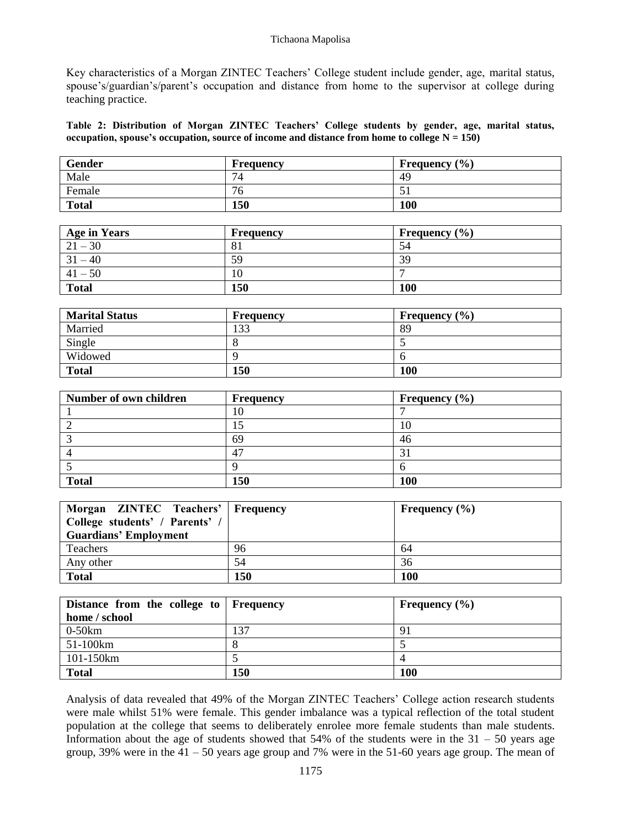#### Tichaona Mapolisa

Key characteristics of a Morgan ZINTEC Teachers' College student include gender, age, marital status, spouse's/guardian's/parent's occupation and distance from home to the supervisor at college during teaching practice.

**Table 2: Distribution of Morgan ZINTEC Teachers' College students by gender, age, marital status, occupation, spouse's occupation, source of income and distance from home to college N = 150)**

| Gender       | <b>Frequency</b> | Frequency $(\% )$ |
|--------------|------------------|-------------------|
| Male         | 74               | 49                |
| Female       | 76               | ◡                 |
| <b>Total</b> | 150              | 100               |

| <b>Age in Years</b> | <b>Frequency</b> | <b>Frequency</b> $(\% )$ |
|---------------------|------------------|--------------------------|
| $21 - 30$           | 81               | 54                       |
| $31 - 40$           | 59               | 39                       |
| $41 - 50$           | 10               |                          |
| <b>Total</b>        | 150              | 100                      |

| <b>Marital Status</b> | <b>Frequency</b> | Frequency $(\% )$ |
|-----------------------|------------------|-------------------|
| Married               | 133              | 89                |
| Single                |                  |                   |
| Widowed               |                  |                   |
| <b>Total</b>          | 150              | 100               |

| Number of own children | <b>Frequency</b> | Frequency $(\% )$ |
|------------------------|------------------|-------------------|
|                        | II.              |                   |
|                        |                  |                   |
|                        | 69               | 46                |
|                        | 4 <sup>7</sup>   |                   |
|                        |                  |                   |
| <b>Total</b>           | 150              | 100               |

| Morgan ZINTEC Teachers'   Frequency<br>College students' / Parents' /<br><b>Guardians' Employment</b> |     | Frequency $(\% )$ |
|-------------------------------------------------------------------------------------------------------|-----|-------------------|
| Teachers                                                                                              | 96  | 64                |
| Any other                                                                                             | .54 | 36                |
| <b>Total</b>                                                                                          | 150 | <b>100</b>        |

| Distance from the college to Frequency |     | Frequency $(\% )$ |  |
|----------------------------------------|-----|-------------------|--|
| home / school                          |     |                   |  |
| $0-50km$                               | 137 | 91                |  |
| 51-100km                               |     |                   |  |
| 101-150km                              |     |                   |  |
| <b>Total</b>                           | 150 | <b>100</b>        |  |

Analysis of data revealed that 49% of the Morgan ZINTEC Teachers' College action research students were male whilst 51% were female. This gender imbalance was a typical reflection of the total student population at the college that seems to deliberately enrolee more female students than male students. Information about the age of students showed that  $54\%$  of the students were in the  $31 - 50$  years age group, 39% were in the 41 – 50 years age group and 7% were in the 51-60 years age group. The mean of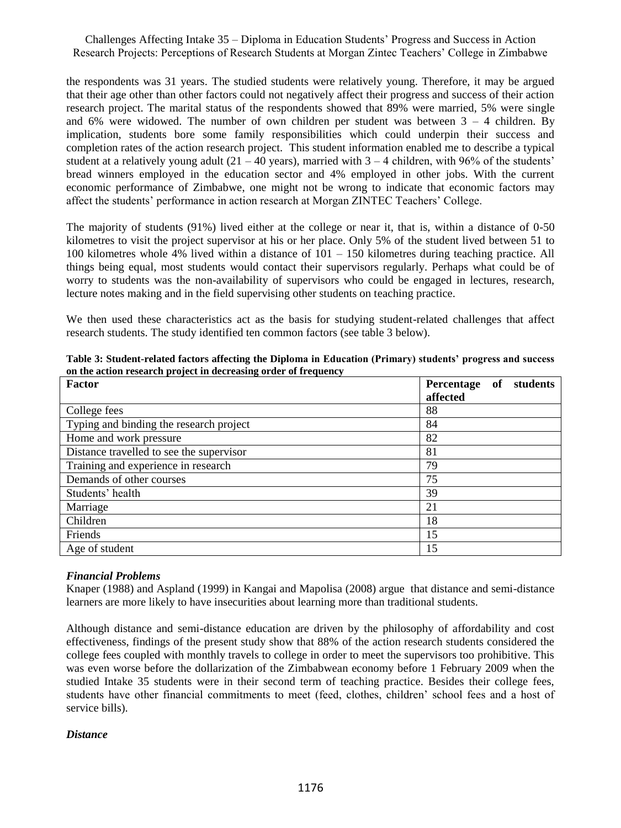the respondents was 31 years. The studied students were relatively young. Therefore, it may be argued that their age other than other factors could not negatively affect their progress and success of their action research project. The marital status of the respondents showed that 89% were married, 5% were single and 6% were widowed. The number of own children per student was between  $3 - 4$  children. By implication, students bore some family responsibilities which could underpin their success and completion rates of the action research project. This student information enabled me to describe a typical student at a relatively young adult  $(21 - 40 \text{ years})$ , married with  $3 - 4$  children, with 96% of the students' bread winners employed in the education sector and 4% employed in other jobs. With the current economic performance of Zimbabwe, one might not be wrong to indicate that economic factors may affect the students' performance in action research at Morgan ZINTEC Teachers' College.

The majority of students (91%) lived either at the college or near it, that is, within a distance of 0-50 kilometres to visit the project supervisor at his or her place. Only 5% of the student lived between 51 to 100 kilometres whole 4% lived within a distance of 101 – 150 kilometres during teaching practice. All things being equal, most students would contact their supervisors regularly. Perhaps what could be of worry to students was the non-availability of supervisors who could be engaged in lectures, research, lecture notes making and in the field supervising other students on teaching practice.

We then used these characteristics act as the basis for studying student-related challenges that affect research students. The study identified ten common factors (see table 3 below).

| Factor                                   | Percentage<br>students<br>of |
|------------------------------------------|------------------------------|
|                                          | affected                     |
| College fees                             | 88                           |
| Typing and binding the research project  | 84                           |
| Home and work pressure                   | 82                           |
| Distance travelled to see the supervisor | 81                           |
| Training and experience in research      | 79                           |
| Demands of other courses                 | 75                           |
| Students' health                         | 39                           |
| Marriage                                 | 21                           |
| Children                                 | 18                           |
| Friends                                  | 15                           |
| Age of student                           | 15                           |

**Table 3: Student-related factors affecting the Diploma in Education (Primary) students' progress and success on the action research project in decreasing order of frequency**

## *Financial Problems*

Knaper (1988) and Aspland (1999) in Kangai and Mapolisa (2008) argue that distance and semi-distance learners are more likely to have insecurities about learning more than traditional students.

Although distance and semi-distance education are driven by the philosophy of affordability and cost effectiveness, findings of the present study show that 88% of the action research students considered the college fees coupled with monthly travels to college in order to meet the supervisors too prohibitive. This was even worse before the dollarization of the Zimbabwean economy before 1 February 2009 when the studied Intake 35 students were in their second term of teaching practice. Besides their college fees, students have other financial commitments to meet (feed, clothes, children' school fees and a host of service bills).

## *Distance*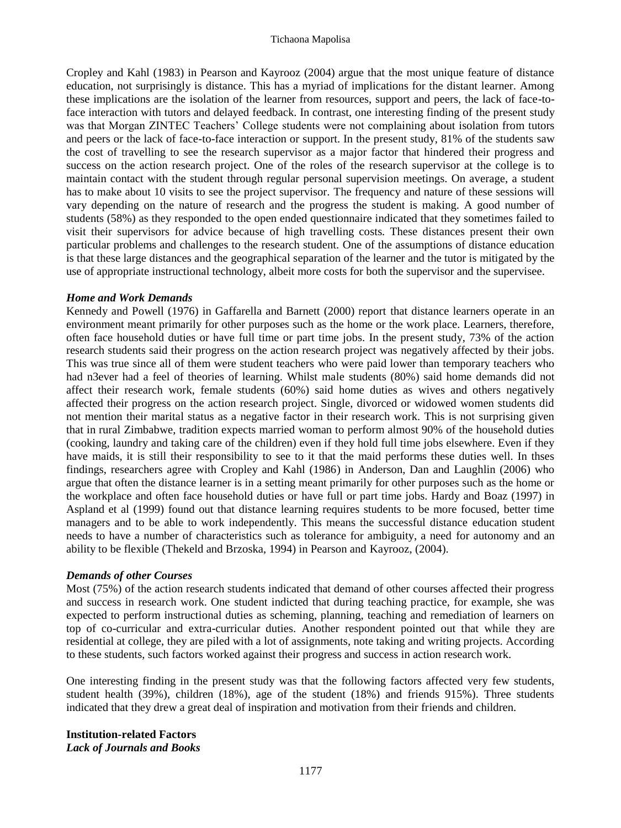#### Tichaona Mapolisa

Cropley and Kahl (1983) in Pearson and Kayrooz (2004) argue that the most unique feature of distance education, not surprisingly is distance. This has a myriad of implications for the distant learner. Among these implications are the isolation of the learner from resources, support and peers, the lack of face-toface interaction with tutors and delayed feedback. In contrast, one interesting finding of the present study was that Morgan ZINTEC Teachers' College students were not complaining about isolation from tutors and peers or the lack of face-to-face interaction or support. In the present study, 81% of the students saw the cost of travelling to see the research supervisor as a major factor that hindered their progress and success on the action research project. One of the roles of the research supervisor at the college is to maintain contact with the student through regular personal supervision meetings. On average, a student has to make about 10 visits to see the project supervisor. The frequency and nature of these sessions will vary depending on the nature of research and the progress the student is making. A good number of students (58%) as they responded to the open ended questionnaire indicated that they sometimes failed to visit their supervisors for advice because of high travelling costs. These distances present their own particular problems and challenges to the research student. One of the assumptions of distance education is that these large distances and the geographical separation of the learner and the tutor is mitigated by the use of appropriate instructional technology, albeit more costs for both the supervisor and the supervisee.

#### *Home and Work Demands*

Kennedy and Powell (1976) in Gaffarella and Barnett (2000) report that distance learners operate in an environment meant primarily for other purposes such as the home or the work place. Learners, therefore, often face household duties or have full time or part time jobs. In the present study, 73% of the action research students said their progress on the action research project was negatively affected by their jobs. This was true since all of them were student teachers who were paid lower than temporary teachers who had n3ever had a feel of theories of learning. Whilst male students (80%) said home demands did not affect their research work, female students (60%) said home duties as wives and others negatively affected their progress on the action research project. Single, divorced or widowed women students did not mention their marital status as a negative factor in their research work. This is not surprising given that in rural Zimbabwe, tradition expects married woman to perform almost 90% of the household duties (cooking, laundry and taking care of the children) even if they hold full time jobs elsewhere. Even if they have maids, it is still their responsibility to see to it that the maid performs these duties well. In thses findings, researchers agree with Cropley and Kahl (1986) in Anderson, Dan and Laughlin (2006) who argue that often the distance learner is in a setting meant primarily for other purposes such as the home or the workplace and often face household duties or have full or part time jobs. Hardy and Boaz (1997) in Aspland et al (1999) found out that distance learning requires students to be more focused, better time managers and to be able to work independently. This means the successful distance education student needs to have a number of characteristics such as tolerance for ambiguity, a need for autonomy and an ability to be flexible (Thekeld and Brzoska, 1994) in Pearson and Kayrooz, (2004).

#### *Demands of other Courses*

Most (75%) of the action research students indicated that demand of other courses affected their progress and success in research work. One student indicted that during teaching practice, for example, she was expected to perform instructional duties as scheming, planning, teaching and remediation of learners on top of co-curricular and extra-curricular duties. Another respondent pointed out that while they are residential at college, they are piled with a lot of assignments, note taking and writing projects. According to these students, such factors worked against their progress and success in action research work.

One interesting finding in the present study was that the following factors affected very few students, student health (39%), children (18%), age of the student (18%) and friends 915%). Three students indicated that they drew a great deal of inspiration and motivation from their friends and children.

**Institution-related Factors** *Lack of Journals and Books*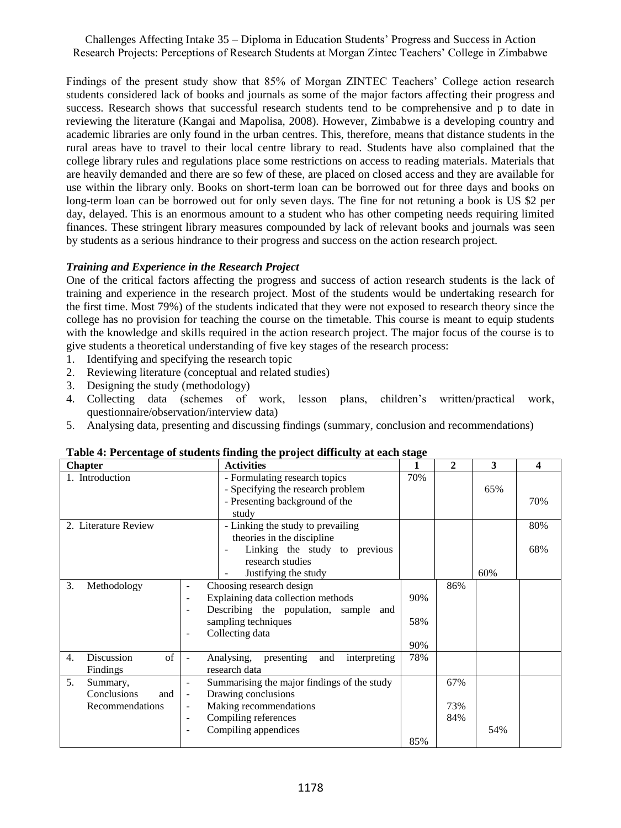Findings of the present study show that 85% of Morgan ZINTEC Teachers' College action research students considered lack of books and journals as some of the major factors affecting their progress and success. Research shows that successful research students tend to be comprehensive and p to date in reviewing the literature (Kangai and Mapolisa, 2008). However, Zimbabwe is a developing country and academic libraries are only found in the urban centres. This, therefore, means that distance students in the rural areas have to travel to their local centre library to read. Students have also complained that the college library rules and regulations place some restrictions on access to reading materials. Materials that are heavily demanded and there are so few of these, are placed on closed access and they are available for use within the library only. Books on short-term loan can be borrowed out for three days and books on long-term loan can be borrowed out for only seven days. The fine for not retuning a book is US \$2 per day, delayed. This is an enormous amount to a student who has other competing needs requiring limited finances. These stringent library measures compounded by lack of relevant books and journals was seen by students as a serious hindrance to their progress and success on the action research project.

#### *Training and Experience in the Research Project*

One of the critical factors affecting the progress and success of action research students is the lack of training and experience in the research project. Most of the students would be undertaking research for the first time. Most 79%) of the students indicated that they were not exposed to research theory since the college has no provision for teaching the course on the timetable. This course is meant to equip students with the knowledge and skills required in the action research project. The major focus of the course is to give students a theoretical understanding of five key stages of the research process:

- 1. Identifying and specifying the research topic
- 2. Reviewing literature (conceptual and related studies)
- 3. Designing the study (methodology)
- 4. Collecting data (schemes of work, lesson plans, children's written/practical work, questionnaire/observation/interview data)
- 5. Analysing data, presenting and discussing findings (summary, conclusion and recommendations)

| <b>Chapter</b>                       | <b>Activities</b>                                              | 1   | $\mathbf{2}$ | 3   | 4   |
|--------------------------------------|----------------------------------------------------------------|-----|--------------|-----|-----|
| 1. Introduction                      | - Formulating research topics                                  | 70% |              |     |     |
|                                      | - Specifying the research problem                              |     |              | 65% |     |
|                                      | - Presenting background of the                                 |     |              |     | 70% |
|                                      | study                                                          |     |              |     |     |
| 2. Literature Review                 | - Linking the study to prevailing                              |     |              |     | 80% |
|                                      | theories in the discipline                                     |     |              |     |     |
|                                      | Linking the study to previous                                  |     |              |     | 68% |
|                                      | research studies                                               |     |              |     |     |
|                                      | Justifying the study                                           |     |              | 60% |     |
| 3.<br>Methodology                    | Choosing research design<br>$\overline{\phantom{a}}$           |     | 86%          |     |     |
|                                      | Explaining data collection methods<br>$\overline{\phantom{a}}$ | 90% |              |     |     |
|                                      | Describing the population, sample and                          |     |              |     |     |
|                                      | sampling techniques                                            | 58% |              |     |     |
|                                      | Collecting data                                                |     |              |     |     |
|                                      |                                                                | 90% |              |     |     |
| Discussion<br>of<br>$\overline{4}$ . | Analysing, presenting<br>and<br>interpreting                   | 78% |              |     |     |
| Findings                             | research data                                                  |     |              |     |     |
| 5.<br>Summary,                       | Summarising the major findings of the study                    |     | 67%          |     |     |
| Conclusions<br>and                   | Drawing conclusions<br>$\qquad \qquad -$                       |     |              |     |     |
| Recommendations                      | Making recommendations<br>$\overline{\phantom{a}}$             |     | 73%          |     |     |
|                                      | Compiling references<br>$\overline{\phantom{a}}$               |     | 84%          |     |     |
|                                      | Compiling appendices                                           |     |              | 54% |     |
|                                      |                                                                | 85% |              |     |     |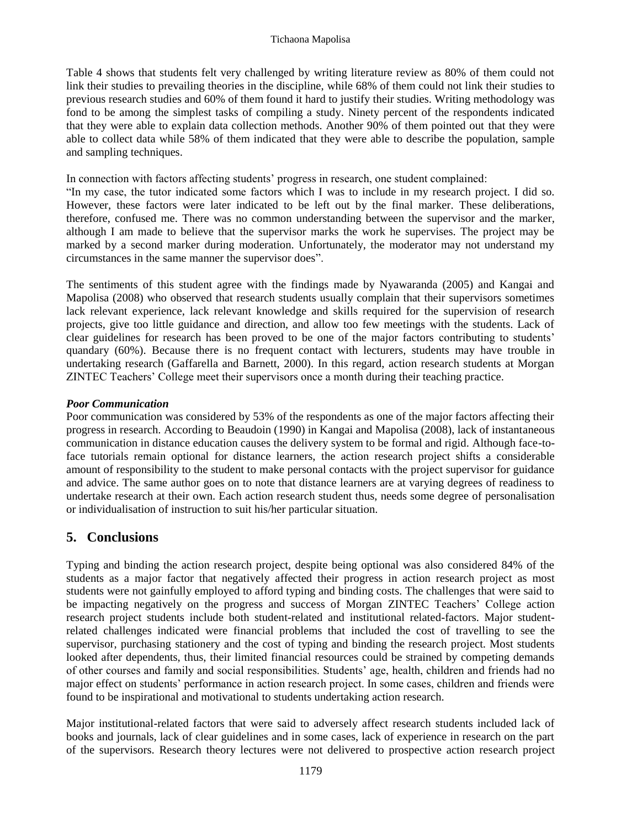Table 4 shows that students felt very challenged by writing literature review as 80% of them could not link their studies to prevailing theories in the discipline, while 68% of them could not link their studies to previous research studies and 60% of them found it hard to justify their studies. Writing methodology was fond to be among the simplest tasks of compiling a study. Ninety percent of the respondents indicated that they were able to explain data collection methods. Another 90% of them pointed out that they were able to collect data while 58% of them indicated that they were able to describe the population, sample and sampling techniques.

In connection with factors affecting students' progress in research, one student complained:

"In my case, the tutor indicated some factors which I was to include in my research project. I did so. However, these factors were later indicated to be left out by the final marker. These deliberations, therefore, confused me. There was no common understanding between the supervisor and the marker, although I am made to believe that the supervisor marks the work he supervises. The project may be marked by a second marker during moderation. Unfortunately, the moderator may not understand my circumstances in the same manner the supervisor does".

The sentiments of this student agree with the findings made by Nyawaranda (2005) and Kangai and Mapolisa (2008) who observed that research students usually complain that their supervisors sometimes lack relevant experience, lack relevant knowledge and skills required for the supervision of research projects, give too little guidance and direction, and allow too few meetings with the students. Lack of clear guidelines for research has been proved to be one of the major factors contributing to students' quandary (60%). Because there is no frequent contact with lecturers, students may have trouble in undertaking research (Gaffarella and Barnett, 2000). In this regard, action research students at Morgan ZINTEC Teachers' College meet their supervisors once a month during their teaching practice.

#### *Poor Communication*

Poor communication was considered by 53% of the respondents as one of the major factors affecting their progress in research. According to Beaudoin (1990) in Kangai and Mapolisa (2008), lack of instantaneous communication in distance education causes the delivery system to be formal and rigid. Although face-toface tutorials remain optional for distance learners, the action research project shifts a considerable amount of responsibility to the student to make personal contacts with the project supervisor for guidance and advice. The same author goes on to note that distance learners are at varying degrees of readiness to undertake research at their own. Each action research student thus, needs some degree of personalisation or individualisation of instruction to suit his/her particular situation.

## **5. Conclusions**

Typing and binding the action research project, despite being optional was also considered 84% of the students as a major factor that negatively affected their progress in action research project as most students were not gainfully employed to afford typing and binding costs. The challenges that were said to be impacting negatively on the progress and success of Morgan ZINTEC Teachers' College action research project students include both student-related and institutional related-factors. Major studentrelated challenges indicated were financial problems that included the cost of travelling to see the supervisor, purchasing stationery and the cost of typing and binding the research project. Most students looked after dependents, thus, their limited financial resources could be strained by competing demands of other courses and family and social responsibilities. Students' age, health, children and friends had no major effect on students' performance in action research project. In some cases, children and friends were found to be inspirational and motivational to students undertaking action research.

Major institutional-related factors that were said to adversely affect research students included lack of books and journals, lack of clear guidelines and in some cases, lack of experience in research on the part of the supervisors. Research theory lectures were not delivered to prospective action research project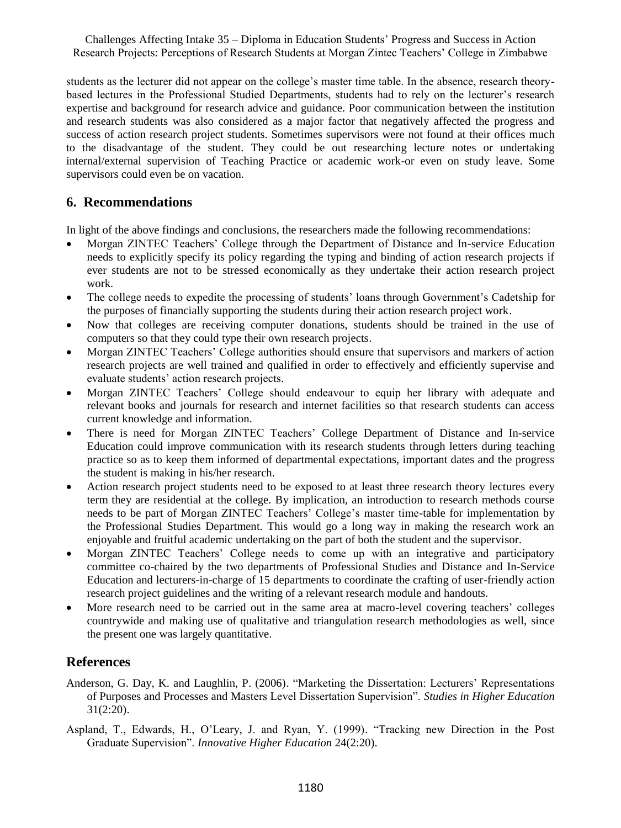students as the lecturer did not appear on the college's master time table. In the absence, research theorybased lectures in the Professional Studied Departments, students had to rely on the lecturer's research expertise and background for research advice and guidance. Poor communication between the institution and research students was also considered as a major factor that negatively affected the progress and success of action research project students. Sometimes supervisors were not found at their offices much to the disadvantage of the student. They could be out researching lecture notes or undertaking internal/external supervision of Teaching Practice or academic work-or even on study leave. Some supervisors could even be on vacation.

## **6. Recommendations**

In light of the above findings and conclusions, the researchers made the following recommendations:

- Morgan ZINTEC Teachers' College through the Department of Distance and In-service Education needs to explicitly specify its policy regarding the typing and binding of action research projects if ever students are not to be stressed economically as they undertake their action research project work.
- The college needs to expedite the processing of students' loans through Government's Cadetship for the purposes of financially supporting the students during their action research project work.
- Now that colleges are receiving computer donations, students should be trained in the use of computers so that they could type their own research projects.
- Morgan ZINTEC Teachers' College authorities should ensure that supervisors and markers of action research projects are well trained and qualified in order to effectively and efficiently supervise and evaluate students' action research projects.
- Morgan ZINTEC Teachers' College should endeavour to equip her library with adequate and relevant books and journals for research and internet facilities so that research students can access current knowledge and information.
- There is need for Morgan ZINTEC Teachers' College Department of Distance and In-service Education could improve communication with its research students through letters during teaching practice so as to keep them informed of departmental expectations, important dates and the progress the student is making in his/her research.
- Action research project students need to be exposed to at least three research theory lectures every term they are residential at the college. By implication, an introduction to research methods course needs to be part of Morgan ZINTEC Teachers' College's master time-table for implementation by the Professional Studies Department. This would go a long way in making the research work an enjoyable and fruitful academic undertaking on the part of both the student and the supervisor.
- Morgan ZINTEC Teachers' College needs to come up with an integrative and participatory committee co-chaired by the two departments of Professional Studies and Distance and In-Service Education and lecturers-in-charge of 15 departments to coordinate the crafting of user-friendly action research project guidelines and the writing of a relevant research module and handouts.
- More research need to be carried out in the same area at macro-level covering teachers' colleges countrywide and making use of qualitative and triangulation research methodologies as well, since the present one was largely quantitative.

## **References**

- Anderson, G. Day, K. and Laughlin, P. (2006). "Marketing the Dissertation: Lecturers' Representations of Purposes and Processes and Masters Level Dissertation Supervision". *Studies in Higher Education* 31(2:20).
- Aspland, T., Edwards, H., O'Leary, J. and Ryan, Y. (1999). "Tracking new Direction in the Post Graduate Supervision". *Innovative Higher Education* 24(2:20).